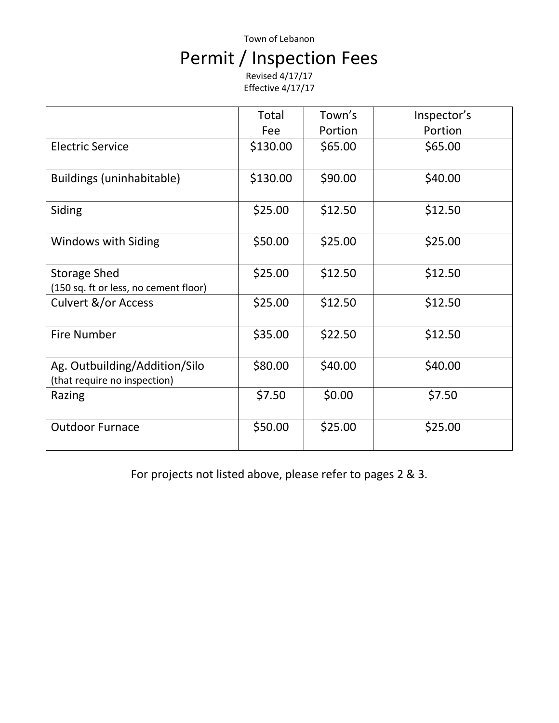# Town of Lebanon Permit / Inspection Fees

Revised 4/17/17 Effective 4/17/17

|                                                               | Total    | Town's  | Inspector's |
|---------------------------------------------------------------|----------|---------|-------------|
|                                                               | Fee      | Portion | Portion     |
| <b>Electric Service</b>                                       | \$130.00 | \$65.00 | \$65.00     |
| Buildings (uninhabitable)                                     | \$130.00 | \$90.00 | \$40.00     |
| Siding                                                        | \$25.00  | \$12.50 | \$12.50     |
| <b>Windows with Siding</b>                                    | \$50.00  | \$25.00 | \$25.00     |
| <b>Storage Shed</b><br>(150 sq. ft or less, no cement floor)  | \$25.00  | \$12.50 | \$12.50     |
| Culvert &/or Access                                           | \$25.00  | \$12.50 | \$12.50     |
| <b>Fire Number</b>                                            | \$35.00  | \$22.50 | \$12.50     |
| Ag. Outbuilding/Addition/Silo<br>(that require no inspection) | \$80.00  | \$40.00 | \$40.00     |
| Razing                                                        | \$7.50   | \$0.00  | \$7.50      |
| <b>Outdoor Furnace</b>                                        | \$50.00  | \$25.00 | \$25.00     |

For projects not listed above, please refer to pages 2 & 3.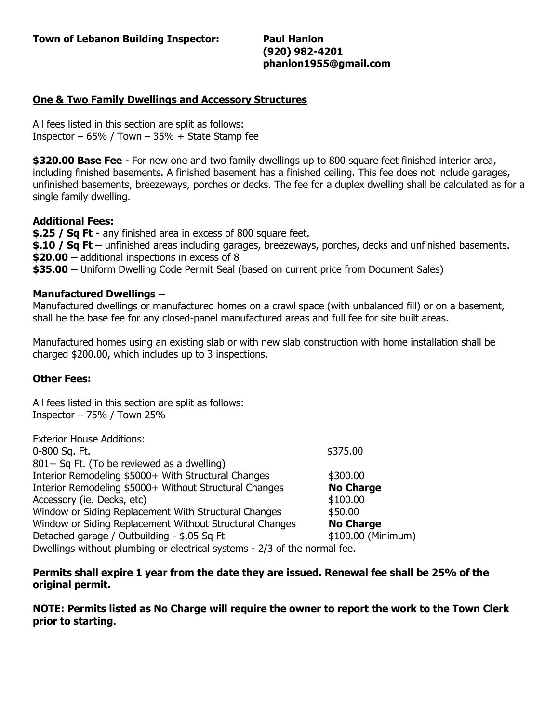**(920) 982-4201 phanlon1955@gmail.com**

### **One & Two Family Dwellings and Accessory Structures**

All fees listed in this section are split as follows: Inspector –  $65\%$  / Town –  $35\%$  + State Stamp fee

**\$320.00 Base Fee** - For new one and two family dwellings up to 800 square feet finished interior area, including finished basements. A finished basement has a finished ceiling. This fee does not include garages, unfinished basements, breezeways, porches or decks. The fee for a duplex dwelling shall be calculated as for a single family dwelling.

#### **Additional Fees:**

**\$.25 / Sq Ft -** any finished area in excess of 800 square feet. **\$.10 / Sq Ft –** unfinished areas including garages, breezeways, porches, decks and unfinished basements. **\$20.00 –** additional inspections in excess of 8 **\$35.00 –** Uniform Dwelling Code Permit Seal (based on current price from Document Sales)

#### **Manufactured Dwellings –**

Manufactured dwellings or manufactured homes on a crawl space (with unbalanced fill) or on a basement, shall be the base fee for any closed-panel manufactured areas and full fee for site built areas.

Manufactured homes using an existing slab or with new slab construction with home installation shall be charged \$200.00, which includes up to 3 inspections.

#### **Other Fees:**

All fees listed in this section are split as follows: Inspector – 75% / Town 25%

| <b>Exterior House Additions:</b>                                          |                    |
|---------------------------------------------------------------------------|--------------------|
| 0-800 Sq. Ft.                                                             | \$375.00           |
| 801+ Sq Ft. (To be reviewed as a dwelling)                                |                    |
| Interior Remodeling \$5000+ With Structural Changes                       | \$300.00           |
| Interior Remodeling \$5000+ Without Structural Changes                    | <b>No Charge</b>   |
| Accessory (ie. Decks, etc)                                                | \$100.00           |
| Window or Siding Replacement With Structural Changes                      | \$50.00            |
| Window or Siding Replacement Without Structural Changes                   | <b>No Charge</b>   |
| Detached garage / Outbuilding - \$.05 Sq Ft                               | \$100.00 (Minimum) |
| Dwellings without plumbing or electrical systems - 2/3 of the normal fee. |                    |

**Permits shall expire 1 year from the date they are issued. Renewal fee shall be 25% of the original permit.**

**NOTE: Permits listed as No Charge will require the owner to report the work to the Town Clerk prior to starting.**